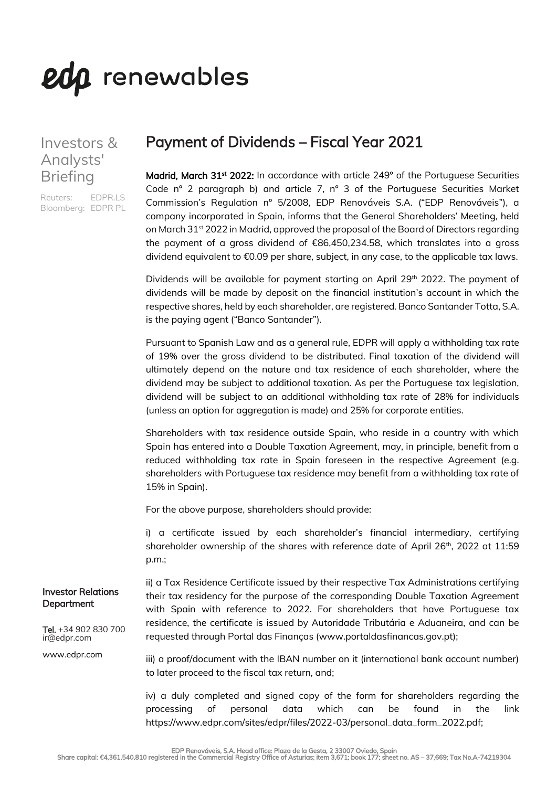# edp renewables

## Investors & Analysts' Briefing

Reuters: EDPR.LS Bloomberg: EDPR PL

# Payment of Dividends – Fiscal Year 2021

Madrid, March 31<sup>st</sup> 2022: In accordance with article 249° of the Portuguese Securities Code nº 2 paragraph b) and article 7, nº 3 of the Portuguese Securities Market Commission's Regulation nº 5/2008, EDP Renováveis S.A. ("EDP Renováveis"), a company incorporated in Spain, informs that the General Shareholders' Meeting, held on March 31<sup>st</sup> 2022 in Madrid, approved the proposal of the Board of Directors regarding the payment of a gross dividend of €86,450,234.58, which translates into a gross dividend equivalent to €0.09 per share, subject, in any case, to the applicable tax laws.

Dividends will be available for payment starting on April 29<sup>th</sup> 2022. The payment of dividends will be made by deposit on the financial institution's account in which the respective shares, held by each shareholder, are registered. Banco Santander Totta, S.A. is the paying agent ("Banco Santander").

Pursuant to Spanish Law and as a general rule, EDPR will apply a withholding tax rate of 19% over the gross dividend to be distributed. Final taxation of the dividend will ultimately depend on the nature and tax residence of each shareholder, where the dividend may be subject to additional taxation. As per the Portuguese tax legislation, dividend will be subject to an additional withholding tax rate of 28% for individuals (unless an option for aggregation is made) and 25% for corporate entities.

Shareholders with tax residence outside Spain, who reside in a country with which Spain has entered into a Double Taxation Agreement, may, in principle, benefit from a reduced withholding tax rate in Spain foreseen in the respective Agreement (e.g. shareholders with Portuguese tax residence may benefit from a withholding tax rate of 15% in Spain).

For the above purpose, shareholders should provide:

i) a certificate issued by each shareholder's financial intermediary, certifying shareholder ownership of the shares with reference date of April  $26<sup>th</sup>$ , 2022 at 11:59 p.m.;

ii) a Tax Residence Certificate issued by their respective Tax Administrations certifying their tax residency for the purpose of the corresponding Double Taxation Agreement with Spain with reference to 2022. For shareholders that have Portuguese tax residence, the certificate is issued by Autoridade Tributária e Aduaneira, and can be requested through Portal das Finanças (www.portaldasfinancas.gov.pt);

iii) a proof/document with the IBAN number on it (international bank account number) to later proceed to the fiscal tax return, and;

iv) a duly completed and signed copy of the form for shareholders regarding the processing of personal data which can be found in the link https://www.edpr.com/sites/edpr/files/2022-03/personal\_data\_form\_2022.pdf;

#### Investor Relations **Department**

Tel. +34 902 830 700 ir@edpr.com

www.edpr.com